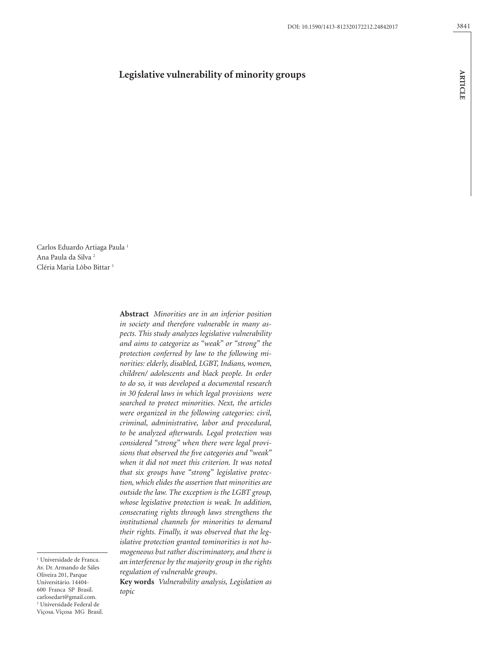# **Legislative vulnerability of minority groups**

Carlos Eduardo Artiaga Paula<sup>1</sup> Ana Paula da Silva 2 Cléria Maria Lôbo Bittar 1

> **Abstract** *Minorities are in an inferior position in society and therefore vulnerable in many aspects. This study analyzes legislative vulnerability and aims to categorize as "weak" or "strong" the protection conferred by law to the following minorities: elderly, disabled, LGBT, Indians, women, children/ adolescents and black people. In order to do so, it was developed a documental research in 30 federal laws in which legal provisions were searched to protect minorities. Next, the articles were organized in the following categories: civil, criminal, administrative, labor and procedural, to be analyzed afterwards. Legal protection was considered "strong" when there were legal provisions that observed the five categories and "weak" when it did not meet this criterion. It was noted that six groups have "strong" legislative protection, which elides the assertion that minorities are outside the law. The exception is the LGBT group, whose legislative protection is weak. In addition, consecrating rights through laws strengthens the institutional channels for minorities to demand their rights. Finally, it was observed that the legislative protection granted tominorities is not homogeneous but rather discriminatory, and there is an interference by the majority group in the rights regulation of vulnerable groups*.

<sup>1</sup> Universidade de Franca. Av. Dr. Armando de Sáles Oliveira 201, Parque Universitário. 14404- 600 Franca SP Brasil. carlosedart@gmail.com. 2 Universidade Federal de Viçosa. Viçosa MG Brasil.

**Key words** *Vulnerability analysis, Legislation as topic*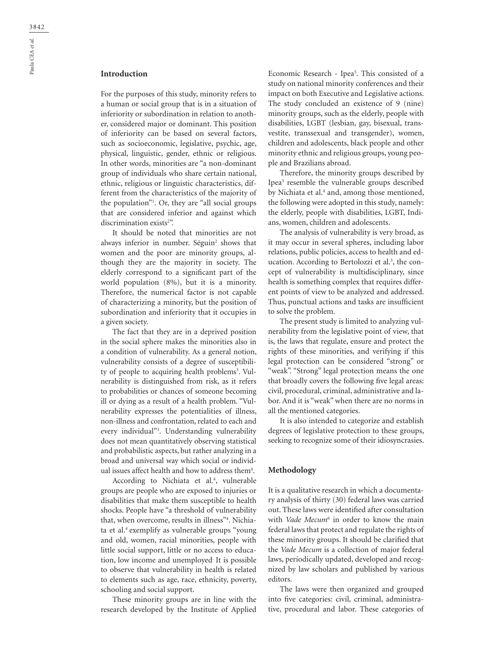## **Introduction**

For the purposes of this study, minority refers to a human or social group that is in a situation of inferiority or subordination in relation to another, considered major or dominant. This position of inferiority can be based on several factors, such as socioeconomic, legislative, psychic, age, physical, linguistic, gender, ethnic or religious. In other words, minorities are "a non-dominant group of individuals who share certain national, ethnic, religious or linguistic characteristics, different from the characteristics of the majority of the population"1 . Or, they are "all social groups that are considered inferior and against which discrimination exists<sup>2</sup>".

It should be noted that minorities are not always inferior in number. Séguin<sup>2</sup> shows that women and the poor are minority groups, although they are the majority in society. The elderly correspond to a significant part of the world population (8%), but it is a minority. Therefore, the numerical factor is not capable of characterizing a minority, but the position of subordination and inferiority that it occupies in a given society.

The fact that they are in a deprived position in the social sphere makes the minorities also in a condition of vulnerability. As a general notion, vulnerability consists of a degree of susceptibility of people to acquiring health problems<sup>3</sup>. Vulnerability is distinguished from risk, as it refers to probabilities or chances of someone becoming ill or dying as a result of a health problem. "Vulnerability expresses the potentialities of illness, non-illness and confrontation, related to each and every individual"3 . Understanding vulnerability does not mean quantitatively observing statistical and probabilistic aspects, but rather analyzing in a broad and universal way which social or individual issues affect health and how to address them<sup>4</sup>.

According to Nichiata et al.<sup>4</sup>, vulnerable groups are people who are exposed to injuries or disabilities that make them susceptible to health shocks. People have "a threshold of vulnerability that, when overcome, results in illness"4 . Nichiata et al.<sup>4</sup> exemplify as vulnerable groups "young and old, women, racial minorities, people with little social support, little or no access to education, low income and unemployed. It is possible to observe that vulnerability in health is related to elements such as age, race, ethnicity, poverty, schooling and social support.

These minority groups are in line with the research developed by the Institute of Applied

Economic Research - Ipea<sup>5</sup>. This consisted of a study on national minority conferences and their impact on both Executive and Legislative actions. The study concluded an existence of 9 (nine) minority groups, such as the elderly, people with disabilities, LGBT (lesbian, gay, bisexual, transvestite, transsexual and transgender), women, children and adolescents, black people and other minority ethnic and religious groups, young people and Brazilians abroad.

Therefore, the minority groups described by Ipea5 resemble the vulnerable groups described by Nichiata et al.<sup>4</sup> and, among those mentioned, the following were adopted in this study, namely: the elderly, people with disabilities, LGBT, Indians, women, children and adolescents.

The analysis of vulnerability is very broad, as it may occur in several spheres, including labor relations, public policies, access to health and education. According to Bertolozzi et al.<sup>3</sup>, the concept of vulnerability is multidisciplinary, since health is something complex that requires different points of view to be analyzed and addressed. Thus, punctual actions and tasks are insufficient to solve the problem.

The present study is limited to analyzing vulnerability from the legislative point of view, that is, the laws that regulate, ensure and protect the rights of these minorities, and verifying if this legal protection can be considered "strong" or "weak". "Strong" legal protection means the one that broadly covers the following five legal areas: civil, procedural, criminal, administrative and labor. And it is "weak" when there are no norms in all the mentioned categories.

It is also intended to categorize and establish degrees of legislative protection to these groups, seeking to recognize some of their idiosyncrasies.

#### **Methodology**

It is a qualitative research in which a documentary analysis of thirty (30) federal laws was carried out. These laws were identified after consultation with *Vade Mecum*<sup>6</sup> in order to know the main federal laws that protect and regulate the rights of these minority groups. It should be clarified that the *Vade Mecum* is a collection of major federal laws, periodically updated, developed and recognized by law scholars and published by various editors.

The laws were then organized and grouped into five categories: civil, criminal, administrative, procedural and labor. These categories of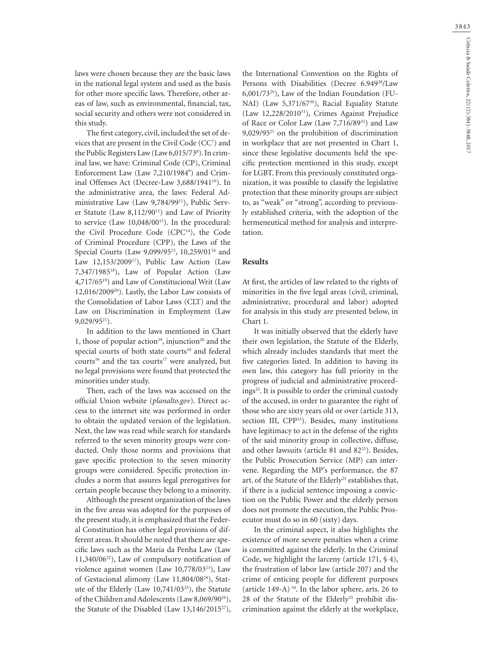laws were chosen because they are the basic laws in the national legal system and used as the basis for other more specific laws. Therefore, other areas of law, such as environmental, financial, tax, social security and others were not considered in this study.

The first category, civil, included the set of devices that are present in the Civil Code (CC7 ) and the Public Registers Law (Law 6,015/738 ). In criminal law, we have: Criminal Code (CP), Criminal Enforcement Law (Law 7,210/1984<sup>9</sup>) and Criminal Offenses Act (Decree-Law 3,688/1941<sup>10</sup>). In the administrative area, the laws: Federal Administrative Law (Law 9,784/99<sup>11</sup>), Public Server Statute (Law 8,112/9012) and Law of Priority to service (Law 10,048/00<sup>13</sup>). In the procedural: the Civil Procedure Code (CPC14), the Code of Criminal Procedure (CPP), the Laws of the Special Courts (Law 9,099/9515, 10,259/0116 and Law 12,153/200917), Public Law Action (Law 7,347/198518), Law of Popular Action (Law 4,717/6519) and Law of Constitucional Writ (Law 12,016/200920). Lastly, the Labor Law consists of the Consolidation of Labor Laws (CLT) and the Law on Discrimination in Employment (Law 9,029/9521).

In addition to the laws mentioned in Chart 1, those of popular action<sup>19</sup>, injunction<sup>20</sup> and the special courts of both state courts<sup>10</sup> and federal courts<sup>16</sup> and the tax courts<sup>17</sup> were analyzed, but no legal provisions were found that protected the minorities under study.

Then, each of the laws was accessed on the official Union website (*planalto.gov*). Direct access to the internet site was performed in order to obtain the updated version of the legislation. Next, the law was read while search for standards referred to the seven minority groups were conducted. Only those norms and provisions that gave specific protection to the seven minority groups were considered. Specific protection includes a norm that assures legal prerogatives for certain people because they belong to a minority.

Although the present organization of the laws in the five areas was adopted for the purposes of the present study, it is emphasized that the Federal Constitution has other legal provisions of different areas. It should be noted that there are specific laws such as the Maria da Penha Law (Law 11,340/0622), Law of compulsory notification of violence against women (Law 10,778/03<sup>23</sup>), Law of Gestacional alimony (Law 11,804/08<sup>24</sup>), Statute of the Elderly (Law 10,741/03<sup>25</sup>), the Statute of the Children and Adolescents (Law 8,069/90<sup>26</sup>), the Statute of the Disabled (Law  $13,146/2015^{27}$ ),

the International Convention on the Rights of Persons with Disabilities (Decree 6.94928/Law 6,001/7329), Law of the Indian Foundation (FU-NAI) (Law 5,371/67<sup>30</sup>), Racial Equality Statute (Law 12,228/201031), Crimes Against Prejudice of Race or Color Law (Law 7,716/89<sup>32</sup>) and Law 9,029/9521 on the prohibition of discrimination in workplace that are not presented in Chart 1, since these legislative documents held the specific protection mentioned in this study, except for LGBT. From this previously constituted organization, it was possible to classify the legislative protection that these minority groups are subject to, as "weak" or "strong", according to previously established criteria, with the adoption of the hermeneutical method for analysis and interpretation.

#### **Results**

At first, the articles of law related to the rights of minorities in the five legal areas (civil, criminal, administrative, procedural and labor) adopted for analysis in this study are presented below, in Chart 1.

It was initially observed that the elderly have their own legislation, the Statute of the Elderly, which already includes standards that meet the five categories listed. In addition to having its own law, this category has full priority in the progress of judicial and administrative proceedings<sup>25</sup>. It is possible to order the criminal custody of the accused, in order to guarantee the right of those who are sixty years old or over (article 313, section III, CPP<sup>33</sup>). Besides, many institutions have legitimacy to act in the defense of the rights of the said minority group in collective, diffuse, and other lawsuits (article 81 and 82<sup>25</sup>). Besides, the Public Prosecution Service (MP) can intervene. Regarding the MP's performance, the 87 art. of the Statute of the Elderly<sup>25</sup> establishes that, if there is a judicial sentence imposing a conviction on the Public Power and the elderly person does not promote the execution, the Public Prosecutor must do so in 60 (sixty) days.

In the criminal aspect, it also highlights the existence of more severe penalties when a crime is committed against the elderly. In the Criminal Code, we highlight the larceny (article  $171, 94$ ), the frustration of labor law (article 207) and the crime of enticing people for different purposes (article 149-A) $^{34}$ . In the labor sphere, arts. 26 to 28 of the Statute of the Elderly<sup>25</sup> prohibit discrimination against the elderly at the workplace,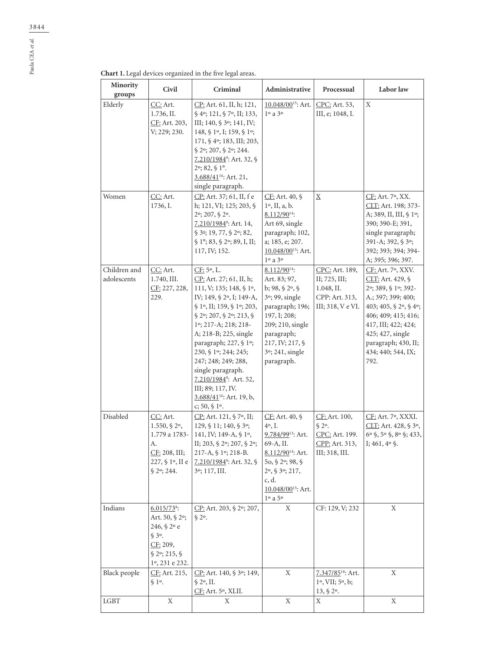| Minority<br>groups          | Civil                                                                                                                    | Criminal                                                                                                                                                                                                                                                                                                                                                                                                                                                                           | Administrative                                                                                                                                                                                                        | Processual                                                                           | Labor law                                                                                                                                                                                                                                                |
|-----------------------------|--------------------------------------------------------------------------------------------------------------------------|------------------------------------------------------------------------------------------------------------------------------------------------------------------------------------------------------------------------------------------------------------------------------------------------------------------------------------------------------------------------------------------------------------------------------------------------------------------------------------|-----------------------------------------------------------------------------------------------------------------------------------------------------------------------------------------------------------------------|--------------------------------------------------------------------------------------|----------------------------------------------------------------------------------------------------------------------------------------------------------------------------------------------------------------------------------------------------------|
| Elderly                     | CC: Art.<br>1.736, II.<br>CF: Art. 203,<br>V; 229; 230.                                                                  | CP: Art. 61, II, h; 121,<br>§ 4°; 121, § 7°, II; 133,<br>III; 140, § 3°; 141, IV;<br>148, § 1°, I; 159, § 1°;<br>171, § 4°; 183, III; 203,<br>§ 2°; 207, § 2°; 244.<br>7.210/1984 <sup>9</sup> : Art. 32, §<br>2°; 82, \$1°.<br>3.688/41 <sup>10</sup> : Art. 21,<br>single paragraph.                                                                                                                                                                                             | 10.048/00 <sup>15</sup> : Art.<br>1°a3°                                                                                                                                                                               | CPC: Art. 53,<br>III, e; 1048, I.                                                    | X                                                                                                                                                                                                                                                        |
| Women                       | CC: Art.<br>1736, I.                                                                                                     | CP: Art. 37; 61, II, f e<br>h; 121, VI; 125; 203, §<br>2°; 207, § 2°.<br>7.210/1984 <sup>9</sup> : Art. 14,<br>$$3°$ ; 19, 77, $$2°$ ; 82,<br>$\S 1^\circ$ ; 83, $\S 2^\circ$ ; 89, I, II;<br>117, IV; 152.                                                                                                                                                                                                                                                                        | CF: Art. 40, §<br>$1^\circ$ , II, a, b.<br>$8.112/90^{14}$ :<br>Art 69, single<br>paragraph; 102,<br>a; 185, e; 207.<br>10.048/00 <sup>15</sup> : Art.<br>1º a 3º                                                     | $\underline{X}$                                                                      | CF: Art. 7°, XX.<br>CLT: Art. 198; 373-<br>A; 389, II, III, § 1 <sup>o</sup> ;<br>390; 390-E; 391,<br>single paragraph;<br>391-A; 392, § 3°;<br>392; 393; 394; 394-<br>A; 395; 396; 397.                                                                 |
| Children and<br>adolescents | CC: Art.<br>1.740, III.<br>CF: 227, 228,<br>229.                                                                         | CF: 5°, L.<br><u>CP:</u> Art. 27; 61, II, h;<br>111, V; 135; 148, $\frac{6}{7}$ 1 <sup>o</sup> ,<br>IV; 149, § 2°, I; 149-A,<br>\$1°, II; 159, \$1°; 203,<br>§ 2°; 207, § 2°; 213, §<br>1 <sup>o</sup> ; 217-A; 218; 218-<br>A; 218-B; 225, single<br>paragraph; 227, § 1°;<br>230, § 1°; 244; 245;<br>247; 248; 249; 288,<br>single paragraph.<br>7.210/1984 <sup>9</sup> : Art. 52,<br>III; 89; 117, IV.<br>3.688/41 <sup>10</sup> : Art. 19, b,<br>c; 50, $\S$ 1 <sup>o</sup> . | $8.112/90^{14}$ :<br>Art. 83; 97,<br>b; 98, § 20, §<br>3°; 99, single<br>paragraph; 196;<br>197, I; 208;<br>209; 210, single<br>paragraph;<br>217, IV; 217, §<br>3°; 241, single<br>paragraph.                        | CPC: Art. 189,<br>II; 725, III;<br>1.048, II.<br>CPP: Art. 313,<br>III; 318, V e VI. | CF: Art. 7º, XXV.<br>CLT: Art. 429, §<br>2°; 389, § 1°; 392-<br>A.; 397; 399; 400;<br>403; 405, $\S 2^{\circ}$ , $\S 4^{\circ}$ ;<br>406; 409; 415; 416;<br>417, III; 422; 424;<br>425; 427, single<br>paragraph; 430, II;<br>434; 440; 544, IX;<br>792. |
| Disabled                    | CC: Art.<br>$1.550, \frac{6}{2}$ <sup>o</sup> ,<br>1.779 a 1783-<br>А.<br>CF: 208, III;<br>227, § 1°, II e<br>\$2°; 244. | CP: Art. 121, § 7°, II;<br>129, § 11; 140, § 3°;<br>141, IV; 149-A, § 1°,<br>II; 203, § 2°; 207, § 2°;<br>217-A, § 1°; 218-B.<br>7.210/1984 <sup>9</sup> : Art. 32, §<br>3 <sup>o</sup> ; 117, III.                                                                                                                                                                                                                                                                                | CF: Art. 40, §<br>$4^\circ$ , I.<br>$9.784/99^{13}$ : Art.<br>69-A, II.<br>8.112/90 <sup>14</sup> : Art.<br>5o, § 2°; 98, §<br>2°, § 3°; 217,<br>c, d.<br>10.048/00 <sup>15</sup> : Art.<br>$1^{\rm o}$ a $5^{\rm o}$ | CF: Art. 100,<br>$§ 2o$ .<br>CPC: Art. 199.<br>CPP: Art. 313,<br>III; 318, III.      | CF: Art. 7º, XXXI.<br>CLT: Art. 428, § 3°,<br>$6^{\circ}$ \$, $5^{\circ}$ \$, $8^{\circ}$ \$; 433,<br>I; $461, 40$ \$.                                                                                                                                   |
| Indians                     | $6.015/73^8$ :<br>Art. 50, $\S 2^{\circ}$ ;<br>246, § 2° e<br>§ 3°.<br>$CF: 209$ ,<br>\$2°; 215, \$<br>1º, 231 e 232.    | CP: Art. 203, § 2°; 207,<br>§ 2°.                                                                                                                                                                                                                                                                                                                                                                                                                                                  | X                                                                                                                                                                                                                     | CF: 129, V; 232                                                                      | $\mathbf X$                                                                                                                                                                                                                                              |

CP: Art. 140, § 3º; 149,

LGBT X X X X X

 $X = 7.347/85^{18}$ : Art. 1º, VII; 5º, b;  $\frac{13, \, \$ \, 2^{\circ}.\,}{X}$ 

X

CF: Art. 5º, XLII.

§ 2º, II.

**Chart 1.** Legal devices organized in the five legal areas.

Black people  $\vert$  CF: Art. 215, § 1º.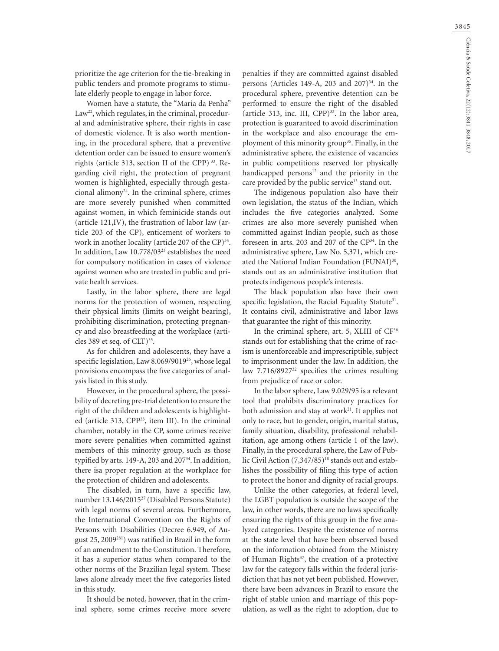prioritize the age criterion for the tie-breaking in public tenders and promote programs to stimulate elderly people to engage in labor force.

Women have a statute, the "Maria da Penha" Law<sup>22</sup>, which regulates, in the criminal, procedural and administrative sphere, their rights in case of domestic violence. It is also worth mentioning, in the procedural sphere, that a preventive detention order can be issued to ensure women's rights (article 313, section II of the CPP) 33. Regarding civil right, the protection of pregnant women is highlighted, especially through gestacional alimony24. In the criminal sphere, crimes are more severely punished when committed against women, in which feminicide stands out (article 121,IV), the frustration of labor law (article 203 of the CP), enticement of workers to work in another locality (article 207 of the CP)<sup>34</sup>. In addition, Law 10.778/0323 establishes the need for compulsory notification in cases of violence against women who are treated in public and private health services.

Lastly, in the labor sphere, there are legal norms for the protection of women, respecting their physical limits (limits on weight bearing), prohibiting discrimination, protecting pregnancy and also breastfeeding at the workplace (articles 389 et seq. of CLT)<sup>35</sup>.

As for children and adolescents, they have a specific legislation, Law 8.069/9019<sup>26</sup>, whose legal provisions encompass the five categories of analysis listed in this study.

However, in the procedural sphere, the possibility of decreting pre-trial detention to ensure the right of the children and adolescents is highlighted (article 313, CPP<sup>33</sup>, item III). In the criminal chamber, notably in the CP, some crimes receive more severe penalities when committed against members of this minority group, such as those typified by arts. 149-A, 203 and 207<sup>34</sup>. In addition, there isa proper regulation at the workplace for the protection of children and adolescents.

The disabled, in turn, have a specific law, number 13.146/201527 (Disabled Persons Statute) with legal norms of several areas. Furthermore, the International Convention on the Rights of Persons with Disabilities (Decree 6.949, of August 25, 2009281) was ratified in Brazil in the form of an amendment to the Constitution. Therefore, it has a superior status when compared to the other norms of the Brazilian legal system. These laws alone already meet the five categories listed in this study.

It should be noted, however, that in the criminal sphere, some crimes receive more severe penalties if they are committed against disabled persons (Articles 149-A, 203 and 207)<sup>34</sup>. In the procedural sphere, preventive detention can be performed to ensure the right of the disabled (article 313, inc. III, CPP)<sup>33</sup>. In the labor area, protection is guaranteed to avoid discrimination in the workplace and also encourage the employment of this minority group35. Finally, in the administrative sphere, the existence of vacancies in public competitions reserved for physically handicapped persons<sup>12</sup> and the priority in the care provided by the public service<sup>13</sup> stand out.

The indigenous population also have their own legislation, the status of the Indian, which includes the five categories analyzed. Some crimes are also more severely punished when committed against Indian people, such as those foreseen in arts. 203 and 207 of the CP34. In the administrative sphere, Law No. 5,371, which created the National Indian Foundation (FUNAI)<sup>30</sup>, stands out as an administrative institution that protects indigenous people's interests.

The black population also have their own specific legislation, the Racial Equality Statute<sup>31</sup>. It contains civil, administrative and labor laws that guarantee the right of this minority.

In the criminal sphere, art. 5, XLIII of CF<sup>36</sup> stands out for establishing that the crime of racism is unenforceable and imprescriptible, subject to imprisonment under the law. In addition, the law  $7.716/8927^{32}$  specifies the crimes resulting from prejudice of race or color.

In the labor sphere, Law 9.029/95 is a relevant tool that prohibits discriminatory practices for both admission and stay at work<sup>21</sup>. It applies not only to race, but to gender, origin, marital status, family situation, disability, professional rehabilitation, age among others (article 1 of the law). Finally, in the procedural sphere, the Law of Public Civil Action (7,347/85)<sup>18</sup> stands out and establishes the possibility of filing this type of action to protect the honor and dignity of racial groups.

Unlike the other categories, at federal level, the LGBT population is outside the scope of the law, in other words, there are no laws specifically ensuring the rights of this group in the five analyzed categories. Despite the existence of norms at the state level that have been observed based on the information obtained from the Ministry of Human Rights<sup>37</sup>, the creation of a protective law for the category falls within the federal jurisdiction that has not yet been published. However, there have been advances in Brazil to ensure the right of stable union and marriage of this population, as well as the right to adoption, due to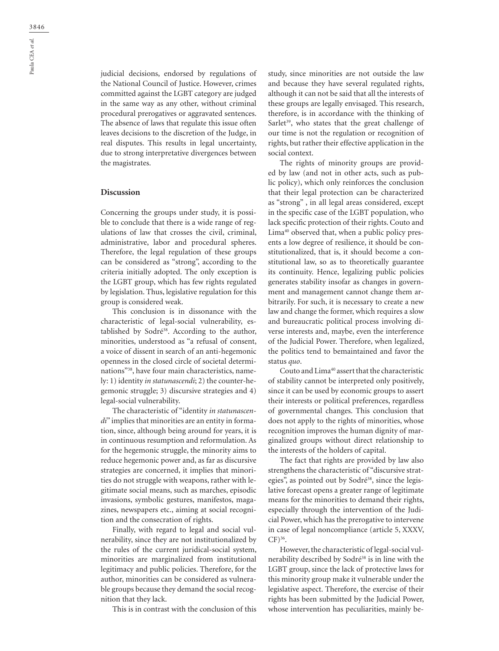judicial decisions, endorsed by regulations of the National Council of Justice. However, crimes committed against the LGBT category are judged in the same way as any other, without criminal procedural prerogatives or aggravated sentences. The absence of laws that regulate this issue often leaves decisions to the discretion of the Judge, in real disputes. This results in legal uncertainty, due to strong interpretative divergences between the magistrates.

#### **Discussion**

Concerning the groups under study, it is possible to conclude that there is a wide range of regulations of law that crosses the civil, criminal, administrative, labor and procedural spheres. Therefore, the legal regulation of these groups can be considered as "strong", according to the criteria initially adopted. The only exception is the LGBT group, which has few rights regulated by legislation. Thus, legislative regulation for this group is considered weak.

This conclusion is in dissonance with the characteristic of legal-social vulnerability, established by Sodré<sup>38</sup>. According to the author, minorities, understood as "a refusal of consent, a voice of dissent in search of an anti-hegemonic openness in the closed circle of societal determinations"38, have four main characteristics, namely: 1) identity *in statunascendi*; 2) the counter-hegemonic struggle; 3) discursive strategies and 4) legal-social vulnerability.

The characteristic of "identity *in statunascendi*" implies that minorities are an entity in formation, since, although being around for years, it is in continuous resumption and reformulation. As for the hegemonic struggle, the minority aims to reduce hegemonic power and, as far as discursive strategies are concerned, it implies that minorities do not struggle with weapons, rather with legitimate social means, such as marches, episodic invasions, symbolic gestures, manifestos, magazines, newspapers etc., aiming at social recognition and the consecration of rights.

Finally, with regard to legal and social vulnerability, since they are not institutionalized by the rules of the current juridical-social system, minorities are marginalized from institutional legitimacy and public policies. Therefore, for the author, minorities can be considered as vulnerable groups because they demand the social recognition that they lack.

This is in contrast with the conclusion of this

study, since minorities are not outside the law and because they have several regulated rights, although it can not be said that all the interests of these groups are legally envisaged. This research, therefore, is in accordance with the thinking of Sarlet<sup>39</sup>, who states that the great challenge of our time is not the regulation or recognition of rights, but rather their effective application in the social context.

The rights of minority groups are provided by law (and not in other acts, such as public policy), which only reinforces the conclusion that their legal protection can be characterized as "strong" , in all legal areas considered, except in the specific case of the LGBT population, who lack specific protection of their rights. Couto and Lima<sup>40</sup> observed that, when a public policy presents a low degree of resilience, it should be constitutionalized, that is, it should become a constitutional law, so as to theoretically guarantee its continuity. Hence, legalizing public policies generates stability insofar as changes in government and management cannot change them arbitrarily. For such, it is necessary to create a new law and change the former, which requires a slow and bureaucratic political process involving diverse interests and, maybe, even the interference of the Judicial Power. Therefore, when legalized, the politics tend to bemaintained and favor the status *quo*.

Couto and Lima40 assert that the characteristic of stability cannot be interpreted only positively, since it can be used by economic groups to assert their interests or political preferences, regardless of governmental changes. This conclusion that does not apply to the rights of minorities, whose recognition improves the human dignity of marginalized groups without direct relationship to the interests of the holders of capital.

The fact that rights are provided by law also strengthens the characteristic of "discursive strategies", as pointed out by Sodré<sup>38</sup>, since the legislative forecast opens a greater range of legitimate means for the minorities to demand their rights, especially through the intervention of the Judicial Power, which has the prerogative to intervene in case of legal noncompliance (article 5, XXXV,  $CF$ )<sup>36</sup>.

However, the characteristic of legal-social vulnerability described by Sodré<sup>38</sup> is in line with the LGBT group, since the lack of protective laws for this minority group make it vulnerable under the legislative aspect. Therefore, the exercise of their rights has been submitted by the Judicial Power, whose intervention has peculiarities, mainly be-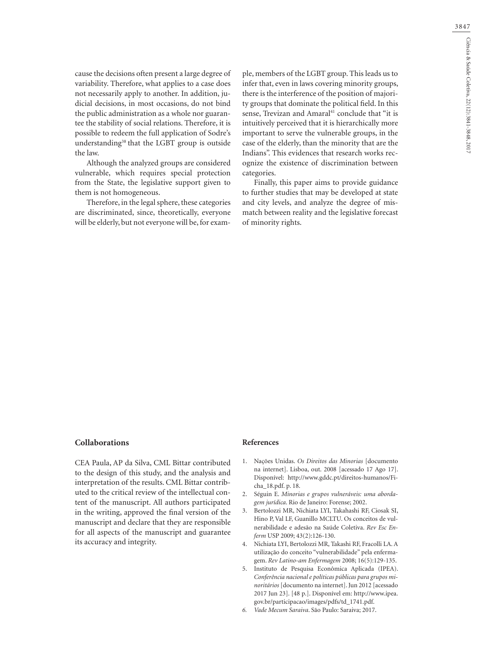3847

cause the decisions often present a large degree of variability. Therefore, what applies to a case does not necessarily apply to another. In addition, judicial decisions, in most occasions, do not bind the public administration as a whole nor guarantee the stability of social relations. Therefore, it is possible to redeem the full application of Sodre's understanding38 that the LGBT group is outside the law.

Although the analyzed groups are considered vulnerable, which requires special protection from the State, the legislative support given to them is not homogeneous.

Therefore, in the legal sphere, these categories are discriminated, since, theoretically, everyone will be elderly, but not everyone will be, for example, members of the LGBT group. This leads us to infer that, even in laws covering minority groups, there is the interference of the position of majority groups that dominate the political field. In this sense, Trevizan and Amaral<sup>41</sup> conclude that "it is intuitively perceived that it is hierarchically more important to serve the vulnerable groups, in the case of the elderly, than the minority that are the Indians". This evidences that research works recognize the existence of discrimination between categories.

Finally, this paper aims to provide guidance to further studies that may be developed at state and city levels, and analyze the degree of mismatch between reality and the legislative forecast of minority rights.

#### **Collaborations**

CEA Paula, AP da Silva, CML Bittar contributed to the design of this study, and the analysis and interpretation of the results. CML Bittar contributed to the critical review of the intellectual content of the manuscript. All authors participated in the writing, approved the final version of the manuscript and declare that they are responsible for all aspects of the manuscript and guarantee its accuracy and integrity.

### **References**

- 1. Nações Unidas. *Os Direitos das Minorias* [documento na internet]. Lisboa, out. 2008 [acessado 17 Ago 17]. Disponível: http://www.gddc.pt/direitos-humanos/Ficha\_18.pdf. p. 18.
- 2. Séguin E. *Minorias e grupos vulneráveis: uma abordagem jurídica*. Rio de Janeiro: Forense; 2002.
- 3. Bertolozzi MR, Nichiata LYI, Takahashi RF, Ciosak SI, Hino P, Val LF, Guanillo MCLTU. Os conceitos de vulnerabilidade e adesão na Saúde Coletiva. *Rev Esc Enferm* USP 2009; 43(2):126-130.
- 4. Nichiata LYI, Bertolozzi MR, Takashi RF, Fracolli LA. A utilização do conceito "vulnerabilidade" pela enfermagem. *Rev Latino-am Enfermagem* 2008; 16(5):129-135.
- 5. Instituto de Pesquisa Econômica Aplicada (IPEA). *Conferência nacional e políticas públicas para grupos minoritários* [documento na internet]. Jun 2012 [acessado 2017 Jun 23]. [48 p.]. Disponível em: http://www.ipea. gov.br/participacao/images/pdfs/td\_1741.pdf.
- *6. Vade Mecum Saraiva*. São Paulo: Saraiva; 2017.